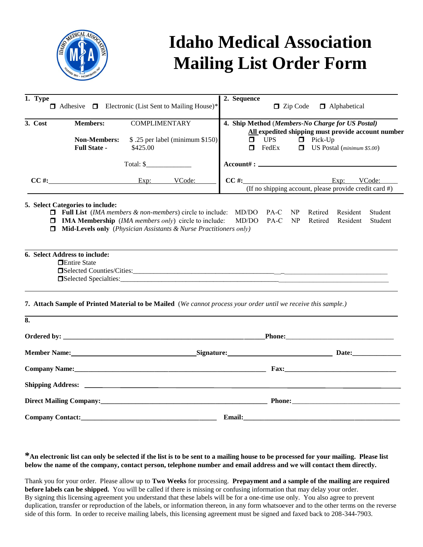

## **Idaho Medical Association Mailing List Order Form**

| 1. Type                                        |                                                                                                                                                                                                                                                                                                        |                                  |                                 | 2. Sequence                                                                                                                                                                                              |
|------------------------------------------------|--------------------------------------------------------------------------------------------------------------------------------------------------------------------------------------------------------------------------------------------------------------------------------------------------------|----------------------------------|---------------------------------|----------------------------------------------------------------------------------------------------------------------------------------------------------------------------------------------------------|
|                                                | $\Box$ Adhesive $\Box$ Electronic (List Sent to Mailing House)*                                                                                                                                                                                                                                        |                                  |                                 | $\Box$ Zip Code<br><b>I</b> Alphabetical                                                                                                                                                                 |
| 3. Cost                                        | <b>Members:</b><br><b>Non-Members:</b><br><b>Full State -</b>                                                                                                                                                                                                                                          | <b>COMPLIMENTARY</b><br>\$425.00 | \$.25 per label (minimum \$150) | 4. Ship Method (Members-No Charge for US Postal)<br>All expedited shipping must provide account number<br>$\Box$ Pick-Up<br>$\Box$<br><b>UPS</b><br>$\Box$<br>FedEx<br>$\Box$ US Postal (minimum \$5.00) |
|                                                |                                                                                                                                                                                                                                                                                                        | Total: $\frac{1}{2}$             |                                 | $Account# : \_$                                                                                                                                                                                          |
|                                                | $CC \#$ : Exp: VCode:                                                                                                                                                                                                                                                                                  |                                  |                                 | $CC \#$ : Exp: VCode:<br>(If no shipping account, please provide credit card $#$ )                                                                                                                       |
|                                                | 5. Select Categories to include:<br>$\Box$ Full List (IMA members & non-members) circle to include:<br>$\Box$ IMA Membership (IMA members only) circle to include:<br>$\Box$ Mid-Levels only (Physician Assistants & Nurse Practitioners only)<br>6. Select Address to include:<br><b>Entire State</b> |                                  |                                 | MD/DO<br>Student<br>PA-C<br>NP<br>Retired<br>Resident<br>MD/DO<br>NP<br>$PA-C$<br>Resident<br>Student<br>Retired                                                                                         |
|                                                |                                                                                                                                                                                                                                                                                                        |                                  |                                 | 7. Attach Sample of Printed Material to be Mailed (We cannot process your order until we receive this sample.)                                                                                           |
| 8.                                             |                                                                                                                                                                                                                                                                                                        |                                  |                                 |                                                                                                                                                                                                          |
|                                                |                                                                                                                                                                                                                                                                                                        |                                  |                                 |                                                                                                                                                                                                          |
| Member Name: Signature: Signature: Date: Date: |                                                                                                                                                                                                                                                                                                        |                                  |                                 |                                                                                                                                                                                                          |
|                                                |                                                                                                                                                                                                                                                                                                        |                                  |                                 |                                                                                                                                                                                                          |
|                                                |                                                                                                                                                                                                                                                                                                        |                                  |                                 |                                                                                                                                                                                                          |
|                                                |                                                                                                                                                                                                                                                                                                        |                                  |                                 |                                                                                                                                                                                                          |
|                                                |                                                                                                                                                                                                                                                                                                        |                                  |                                 |                                                                                                                                                                                                          |
|                                                |                                                                                                                                                                                                                                                                                                        |                                  |                                 |                                                                                                                                                                                                          |

**\*An electronic list can only be selected if the list is to be sent to a mailing house to be processed for your mailing. Please list below the name of the company, contact person, telephone number and email address and we will contact them directly.** 

Thank you for your order. Please allow up to **Two Weeks** for processing. **Prepayment and a sample of the mailing are required before labels can be shipped.** You will be called if there is missing or confusing information that may delay your order. By signing this licensing agreement you understand that these labels will be for a one-time use only. You also agree to prevent duplication, transfer or reproduction of the labels, or information thereon, in any form whatsoever and to the other terms on the reverse side of this form. In order to receive mailing labels, this licensing agreement must be signed and faxed back to 208-344-7903.